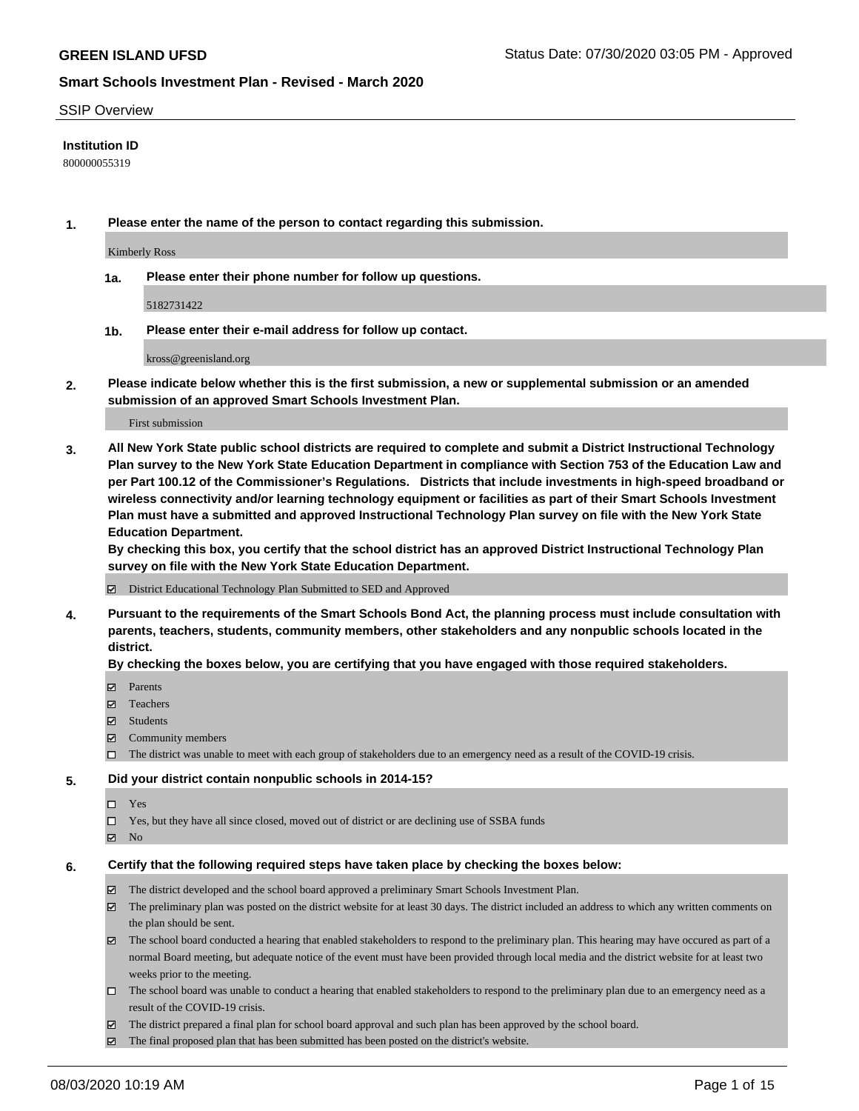#### SSIP Overview

#### **Institution ID**

800000055319

**1. Please enter the name of the person to contact regarding this submission.**

Kimberly Ross

**1a. Please enter their phone number for follow up questions.**

5182731422

**1b. Please enter their e-mail address for follow up contact.**

kross@greenisland.org

**2. Please indicate below whether this is the first submission, a new or supplemental submission or an amended submission of an approved Smart Schools Investment Plan.**

#### First submission

**3. All New York State public school districts are required to complete and submit a District Instructional Technology Plan survey to the New York State Education Department in compliance with Section 753 of the Education Law and per Part 100.12 of the Commissioner's Regulations. Districts that include investments in high-speed broadband or wireless connectivity and/or learning technology equipment or facilities as part of their Smart Schools Investment Plan must have a submitted and approved Instructional Technology Plan survey on file with the New York State Education Department.** 

**By checking this box, you certify that the school district has an approved District Instructional Technology Plan survey on file with the New York State Education Department.**

District Educational Technology Plan Submitted to SED and Approved

**4. Pursuant to the requirements of the Smart Schools Bond Act, the planning process must include consultation with parents, teachers, students, community members, other stakeholders and any nonpublic schools located in the district.** 

#### **By checking the boxes below, you are certifying that you have engaged with those required stakeholders.**

- **□** Parents
- Teachers
- Students
- $\boxtimes$  Community members
- The district was unable to meet with each group of stakeholders due to an emergency need as a result of the COVID-19 crisis.

#### **5. Did your district contain nonpublic schools in 2014-15?**

- $\neg$  Yes
- Yes, but they have all since closed, moved out of district or are declining use of SSBA funds
- **Z** No

#### **6. Certify that the following required steps have taken place by checking the boxes below:**

- The district developed and the school board approved a preliminary Smart Schools Investment Plan.
- $\boxtimes$  The preliminary plan was posted on the district website for at least 30 days. The district included an address to which any written comments on the plan should be sent.
- $\boxtimes$  The school board conducted a hearing that enabled stakeholders to respond to the preliminary plan. This hearing may have occured as part of a normal Board meeting, but adequate notice of the event must have been provided through local media and the district website for at least two weeks prior to the meeting.
- The school board was unable to conduct a hearing that enabled stakeholders to respond to the preliminary plan due to an emergency need as a result of the COVID-19 crisis.
- The district prepared a final plan for school board approval and such plan has been approved by the school board.
- $\boxtimes$  The final proposed plan that has been submitted has been posted on the district's website.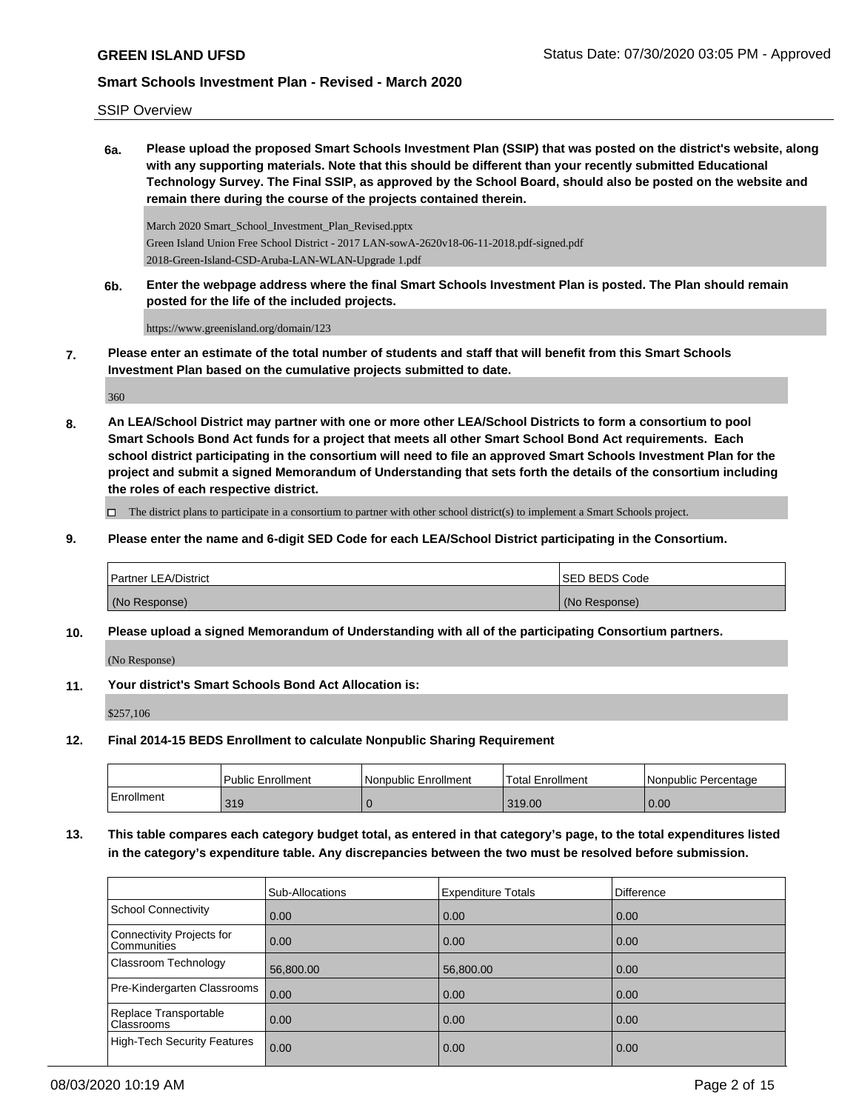SSIP Overview

**6a. Please upload the proposed Smart Schools Investment Plan (SSIP) that was posted on the district's website, along with any supporting materials. Note that this should be different than your recently submitted Educational Technology Survey. The Final SSIP, as approved by the School Board, should also be posted on the website and remain there during the course of the projects contained therein.**

March 2020 Smart\_School\_Investment\_Plan\_Revised.pptx Green Island Union Free School District - 2017 LAN-sowA-2620v18-06-11-2018.pdf-signed.pdf 2018-Green-Island-CSD-Aruba-LAN-WLAN-Upgrade 1.pdf

**6b. Enter the webpage address where the final Smart Schools Investment Plan is posted. The Plan should remain posted for the life of the included projects.**

https://www.greenisland.org/domain/123

**7. Please enter an estimate of the total number of students and staff that will benefit from this Smart Schools Investment Plan based on the cumulative projects submitted to date.**

360

**8. An LEA/School District may partner with one or more other LEA/School Districts to form a consortium to pool Smart Schools Bond Act funds for a project that meets all other Smart School Bond Act requirements. Each school district participating in the consortium will need to file an approved Smart Schools Investment Plan for the project and submit a signed Memorandum of Understanding that sets forth the details of the consortium including the roles of each respective district.**

 $\Box$  The district plans to participate in a consortium to partner with other school district(s) to implement a Smart Schools project.

**9. Please enter the name and 6-digit SED Code for each LEA/School District participating in the Consortium.**

| <b>Partner LEA/District</b> | <b>ISED BEDS Code</b> |
|-----------------------------|-----------------------|
| (No Response)               | (No Response)         |

**10. Please upload a signed Memorandum of Understanding with all of the participating Consortium partners.**

(No Response)

**11. Your district's Smart Schools Bond Act Allocation is:**

\$257,106

**12. Final 2014-15 BEDS Enrollment to calculate Nonpublic Sharing Requirement**

|            | <b>Public Enrollment</b> | l Nonpublic Enrollment | <b>Total Enrollment</b> | I Nonpublic Percentage |
|------------|--------------------------|------------------------|-------------------------|------------------------|
| Enrollment | 319                      |                        | 319.00                  | 0.00                   |

**13. This table compares each category budget total, as entered in that category's page, to the total expenditures listed in the category's expenditure table. Any discrepancies between the two must be resolved before submission.**

|                                            | Sub-Allocations | <b>Expenditure Totals</b> | Difference |
|--------------------------------------------|-----------------|---------------------------|------------|
| School Connectivity                        | 0.00            | 0.00                      | 0.00       |
| Connectivity Projects for<br>Communities   | 0.00            | 0.00                      | 0.00       |
| <b>Classroom Technology</b>                | 56,800.00       | 56,800.00                 | 0.00       |
| Pre-Kindergarten Classrooms                | 0.00            | 0.00                      | 0.00       |
| Replace Transportable<br><b>Classrooms</b> | 0.00            | 0.00                      | 0.00       |
| High-Tech Security Features                | 0.00            | 0.00                      | 0.00       |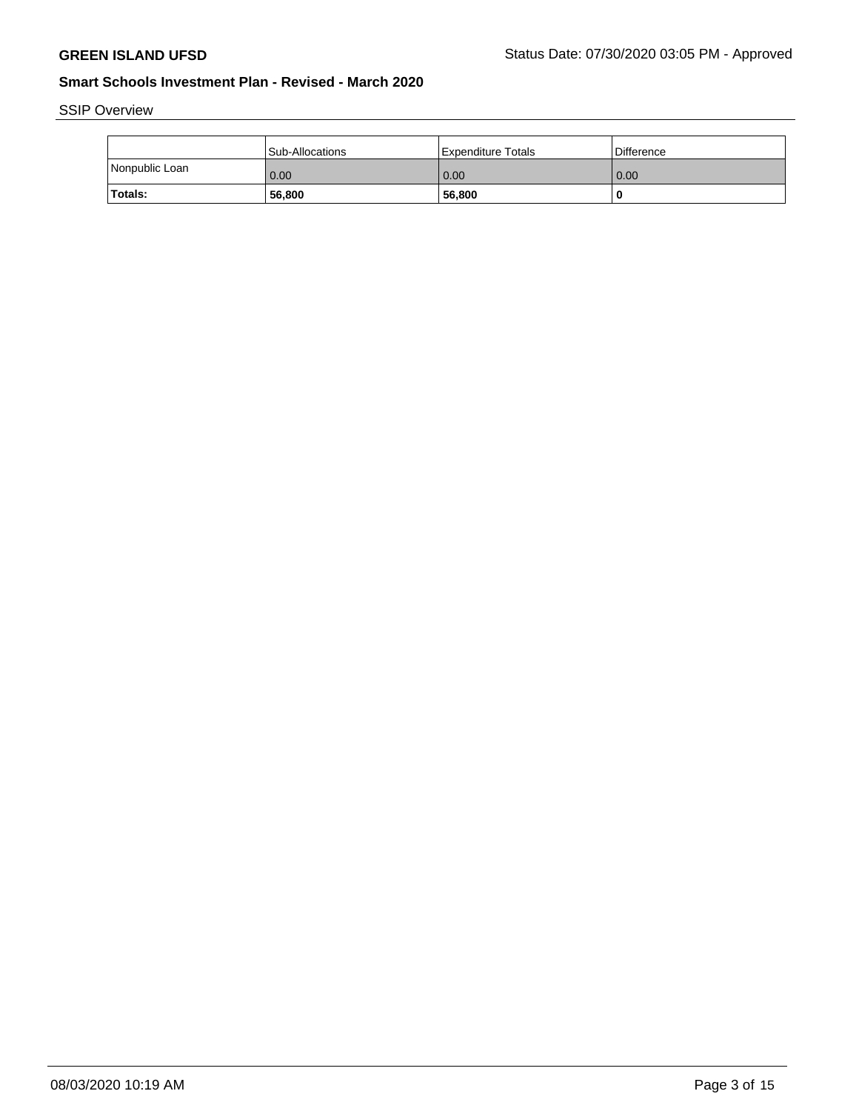SSIP Overview

|                | <b>Sub-Allocations</b> | Expenditure Totals | Difference |
|----------------|------------------------|--------------------|------------|
| Nonpublic Loan | 0.00                   | 0.00               | 0.00       |
| <b>Totals:</b> | 56,800                 | 56,800             |            |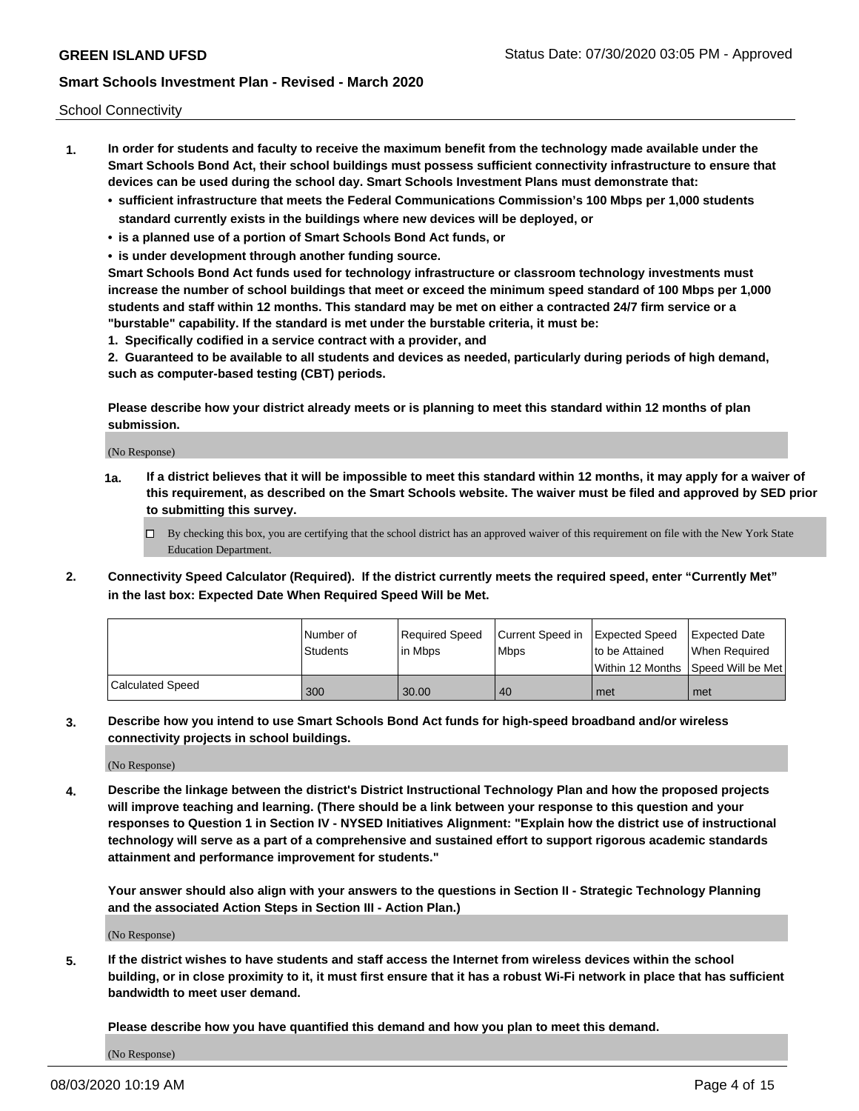School Connectivity

- **1. In order for students and faculty to receive the maximum benefit from the technology made available under the Smart Schools Bond Act, their school buildings must possess sufficient connectivity infrastructure to ensure that devices can be used during the school day. Smart Schools Investment Plans must demonstrate that:**
	- **• sufficient infrastructure that meets the Federal Communications Commission's 100 Mbps per 1,000 students standard currently exists in the buildings where new devices will be deployed, or**
	- **• is a planned use of a portion of Smart Schools Bond Act funds, or**
	- **• is under development through another funding source.**

**Smart Schools Bond Act funds used for technology infrastructure or classroom technology investments must increase the number of school buildings that meet or exceed the minimum speed standard of 100 Mbps per 1,000 students and staff within 12 months. This standard may be met on either a contracted 24/7 firm service or a "burstable" capability. If the standard is met under the burstable criteria, it must be:**

**1. Specifically codified in a service contract with a provider, and**

**2. Guaranteed to be available to all students and devices as needed, particularly during periods of high demand, such as computer-based testing (CBT) periods.**

**Please describe how your district already meets or is planning to meet this standard within 12 months of plan submission.**

(No Response)

**1a. If a district believes that it will be impossible to meet this standard within 12 months, it may apply for a waiver of this requirement, as described on the Smart Schools website. The waiver must be filed and approved by SED prior to submitting this survey.**

 $\Box$  By checking this box, you are certifying that the school district has an approved waiver of this requirement on file with the New York State Education Department.

**2. Connectivity Speed Calculator (Required). If the district currently meets the required speed, enter "Currently Met" in the last box: Expected Date When Required Speed Will be Met.**

|                  | l Number of<br><b>Students</b> | Required Speed<br>lin Mbps | Current Speed in Expected Speed<br><b>Mbps</b> | to be Attained | <b>Expected Date</b><br>When Reauired |
|------------------|--------------------------------|----------------------------|------------------------------------------------|----------------|---------------------------------------|
|                  |                                |                            |                                                |                | Within 12 Months 1Speed Will be Met1  |
| Calculated Speed | 300                            | 30.00                      | 40                                             | met            | met                                   |

**3. Describe how you intend to use Smart Schools Bond Act funds for high-speed broadband and/or wireless connectivity projects in school buildings.**

(No Response)

**4. Describe the linkage between the district's District Instructional Technology Plan and how the proposed projects will improve teaching and learning. (There should be a link between your response to this question and your responses to Question 1 in Section IV - NYSED Initiatives Alignment: "Explain how the district use of instructional technology will serve as a part of a comprehensive and sustained effort to support rigorous academic standards attainment and performance improvement for students."** 

**Your answer should also align with your answers to the questions in Section II - Strategic Technology Planning and the associated Action Steps in Section III - Action Plan.)**

(No Response)

**5. If the district wishes to have students and staff access the Internet from wireless devices within the school building, or in close proximity to it, it must first ensure that it has a robust Wi-Fi network in place that has sufficient bandwidth to meet user demand.**

**Please describe how you have quantified this demand and how you plan to meet this demand.**

(No Response)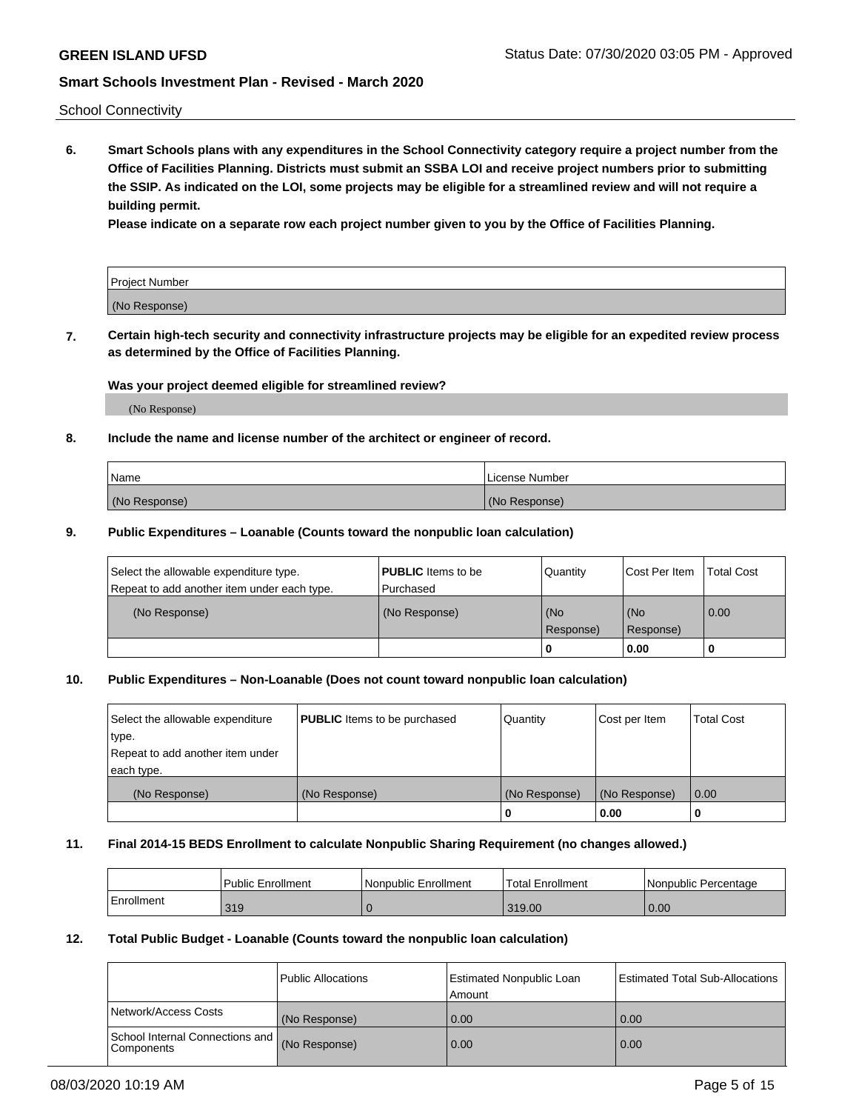School Connectivity

**6. Smart Schools plans with any expenditures in the School Connectivity category require a project number from the Office of Facilities Planning. Districts must submit an SSBA LOI and receive project numbers prior to submitting the SSIP. As indicated on the LOI, some projects may be eligible for a streamlined review and will not require a building permit.**

**Please indicate on a separate row each project number given to you by the Office of Facilities Planning.**

| Project Number |  |
|----------------|--|
| (No Response)  |  |

**7. Certain high-tech security and connectivity infrastructure projects may be eligible for an expedited review process as determined by the Office of Facilities Planning.**

#### **Was your project deemed eligible for streamlined review?**

(No Response)

### **8. Include the name and license number of the architect or engineer of record.**

| Name          | License Number |
|---------------|----------------|
| (No Response) | (No Response)  |

#### **9. Public Expenditures – Loanable (Counts toward the nonpublic loan calculation)**

| Select the allowable expenditure type.<br>Repeat to add another item under each type. | <b>PUBLIC</b> Items to be<br>l Purchased | Quantity           | Cost Per Item    | <b>Total Cost</b> |
|---------------------------------------------------------------------------------------|------------------------------------------|--------------------|------------------|-------------------|
| (No Response)                                                                         | (No Response)                            | l (No<br>Response) | (No<br>Response) | $\overline{0.00}$ |
|                                                                                       |                                          | 0                  | 0.00             |                   |

### **10. Public Expenditures – Non-Loanable (Does not count toward nonpublic loan calculation)**

| Select the allowable expenditure<br>type.<br>Repeat to add another item under<br>each type. | <b>PUBLIC</b> Items to be purchased | Quantity      | Cost per Item | <b>Total Cost</b> |
|---------------------------------------------------------------------------------------------|-------------------------------------|---------------|---------------|-------------------|
| (No Response)                                                                               | (No Response)                       | (No Response) | (No Response) | 0.00              |
|                                                                                             |                                     |               | 0.00          |                   |

#### **11. Final 2014-15 BEDS Enrollment to calculate Nonpublic Sharing Requirement (no changes allowed.)**

|            | Public Enrollment | l Nonpublic Enrollment | <b>Total Enrollment</b> | Nonpublic Percentage |
|------------|-------------------|------------------------|-------------------------|----------------------|
| Enrollment | 319               |                        | 319.00                  | 0.00                 |

#### **12. Total Public Budget - Loanable (Counts toward the nonpublic loan calculation)**

|                                                      | Public Allocations | <b>Estimated Nonpublic Loan</b><br>Amount | Estimated Total Sub-Allocations |
|------------------------------------------------------|--------------------|-------------------------------------------|---------------------------------|
| Network/Access Costs                                 | (No Response)      | 0.00                                      | 0.00                            |
| School Internal Connections and<br><b>Components</b> | (No Response)      | 0.00                                      | 0.00                            |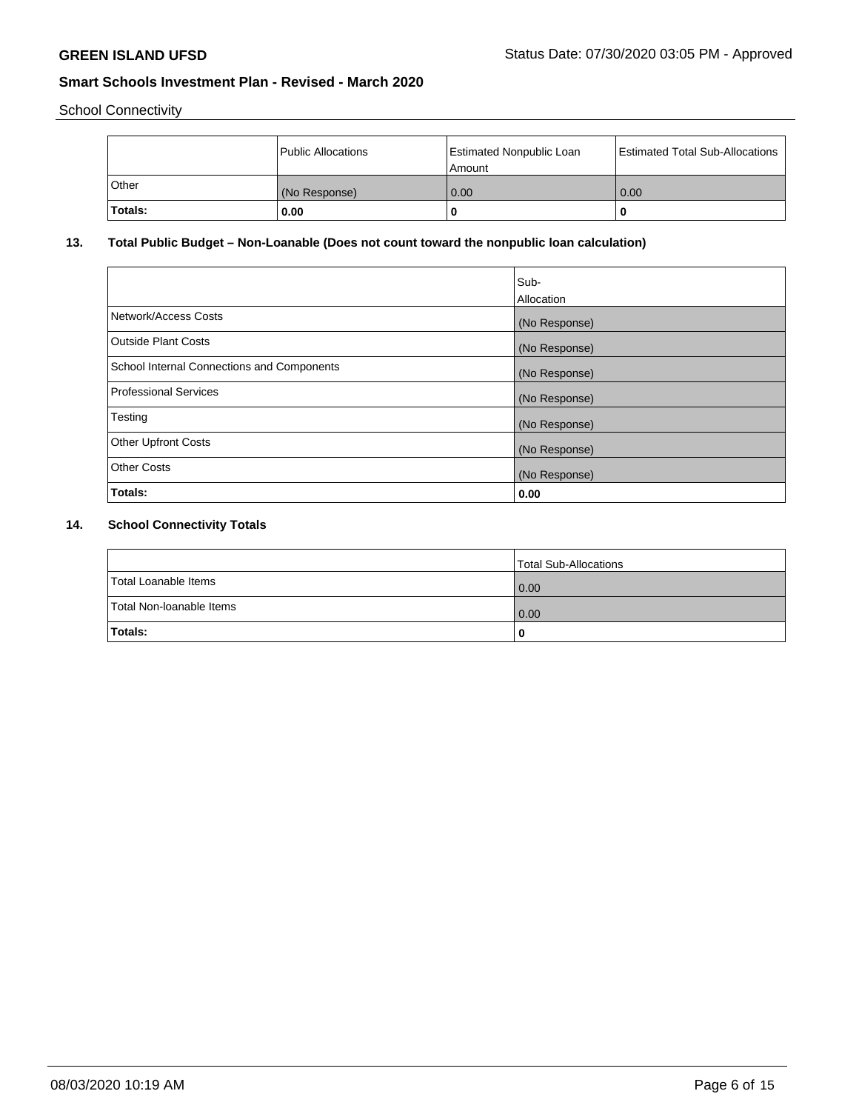School Connectivity

|         | Public Allocations | Estimated Nonpublic Loan<br>l Amount | <b>Estimated Total Sub-Allocations</b> |
|---------|--------------------|--------------------------------------|----------------------------------------|
| l Other | (No Response)      | 0.00                                 | 0.00                                   |
| Totals: | 0.00               | 0                                    | 0                                      |

# **13. Total Public Budget – Non-Loanable (Does not count toward the nonpublic loan calculation)**

|                                                   | Sub-<br>Allocation |
|---------------------------------------------------|--------------------|
| Network/Access Costs                              | (No Response)      |
| <b>Outside Plant Costs</b>                        | (No Response)      |
| <b>School Internal Connections and Components</b> | (No Response)      |
| <b>Professional Services</b>                      | (No Response)      |
| Testing                                           | (No Response)      |
| <b>Other Upfront Costs</b>                        | (No Response)      |
| <b>Other Costs</b>                                | (No Response)      |
| Totals:                                           | 0.00               |

# **14. School Connectivity Totals**

|                          | Total Sub-Allocations |
|--------------------------|-----------------------|
| Total Loanable Items     | 0.00                  |
| Total Non-Ioanable Items | 0.00                  |
| Totals:                  | 0                     |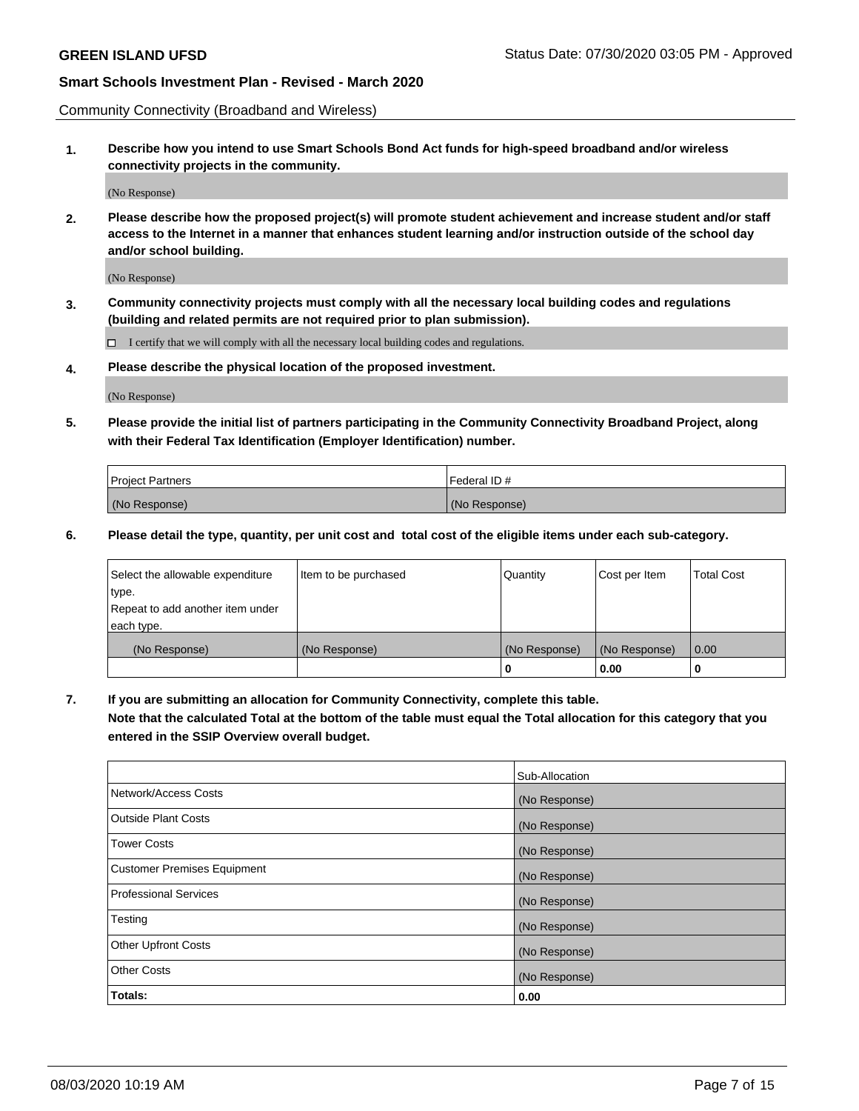Community Connectivity (Broadband and Wireless)

**1. Describe how you intend to use Smart Schools Bond Act funds for high-speed broadband and/or wireless connectivity projects in the community.**

(No Response)

**2. Please describe how the proposed project(s) will promote student achievement and increase student and/or staff access to the Internet in a manner that enhances student learning and/or instruction outside of the school day and/or school building.**

(No Response)

**3. Community connectivity projects must comply with all the necessary local building codes and regulations (building and related permits are not required prior to plan submission).**

 $\Box$  I certify that we will comply with all the necessary local building codes and regulations.

**4. Please describe the physical location of the proposed investment.**

(No Response)

**5. Please provide the initial list of partners participating in the Community Connectivity Broadband Project, along with their Federal Tax Identification (Employer Identification) number.**

| <b>Project Partners</b> | l Federal ID # |
|-------------------------|----------------|
| (No Response)           | (No Response)  |

**6. Please detail the type, quantity, per unit cost and total cost of the eligible items under each sub-category.**

| Select the allowable expenditure | Item to be purchased | Quantity      | Cost per Item | <b>Total Cost</b> |
|----------------------------------|----------------------|---------------|---------------|-------------------|
| type.                            |                      |               |               |                   |
| Repeat to add another item under |                      |               |               |                   |
| each type.                       |                      |               |               |                   |
| (No Response)                    | (No Response)        | (No Response) | (No Response) | 0.00              |
|                                  |                      | o             | 0.00          |                   |

**7. If you are submitting an allocation for Community Connectivity, complete this table.**

**Note that the calculated Total at the bottom of the table must equal the Total allocation for this category that you entered in the SSIP Overview overall budget.**

|                                    | Sub-Allocation |
|------------------------------------|----------------|
| Network/Access Costs               | (No Response)  |
| Outside Plant Costs                | (No Response)  |
| <b>Tower Costs</b>                 | (No Response)  |
| <b>Customer Premises Equipment</b> | (No Response)  |
| <b>Professional Services</b>       | (No Response)  |
| Testing                            | (No Response)  |
| <b>Other Upfront Costs</b>         | (No Response)  |
| <b>Other Costs</b>                 | (No Response)  |
| Totals:                            | 0.00           |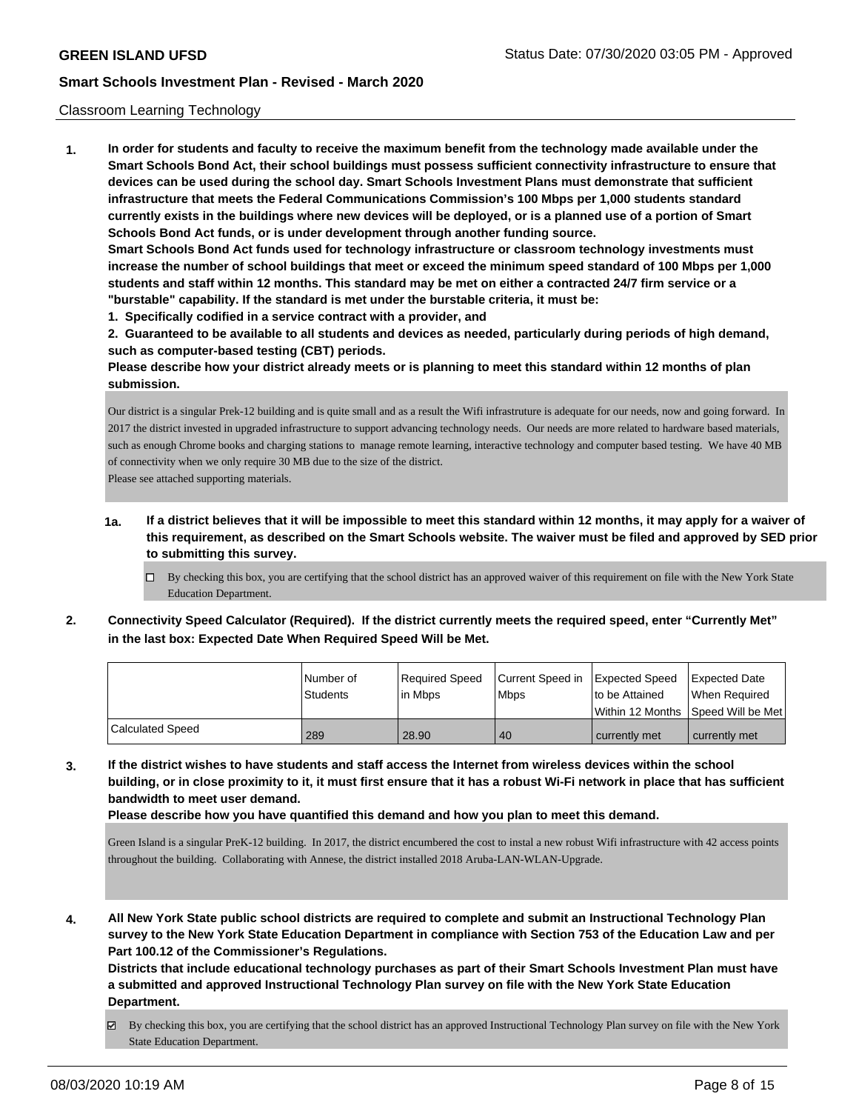#### Classroom Learning Technology

**1. In order for students and faculty to receive the maximum benefit from the technology made available under the Smart Schools Bond Act, their school buildings must possess sufficient connectivity infrastructure to ensure that devices can be used during the school day. Smart Schools Investment Plans must demonstrate that sufficient infrastructure that meets the Federal Communications Commission's 100 Mbps per 1,000 students standard currently exists in the buildings where new devices will be deployed, or is a planned use of a portion of Smart Schools Bond Act funds, or is under development through another funding source. Smart Schools Bond Act funds used for technology infrastructure or classroom technology investments must increase the number of school buildings that meet or exceed the minimum speed standard of 100 Mbps per 1,000 students and staff within 12 months. This standard may be met on either a contracted 24/7 firm service or a "burstable" capability. If the standard is met under the burstable criteria, it must be: 1. Specifically codified in a service contract with a provider, and**

**2. Guaranteed to be available to all students and devices as needed, particularly during periods of high demand, such as computer-based testing (CBT) periods.**

**Please describe how your district already meets or is planning to meet this standard within 12 months of plan submission.**

Our district is a singular Prek-12 building and is quite small and as a result the Wifi infrastruture is adequate for our needs, now and going forward. In 2017 the district invested in upgraded infrastructure to support advancing technology needs. Our needs are more related to hardware based materials, such as enough Chrome books and charging stations to manage remote learning, interactive technology and computer based testing. We have 40 MB of connectivity when we only require 30 MB due to the size of the district.

Please see attached supporting materials.

- **1a. If a district believes that it will be impossible to meet this standard within 12 months, it may apply for a waiver of this requirement, as described on the Smart Schools website. The waiver must be filed and approved by SED prior to submitting this survey.**
	- $\Box$  By checking this box, you are certifying that the school district has an approved waiver of this requirement on file with the New York State Education Department.
- **2. Connectivity Speed Calculator (Required). If the district currently meets the required speed, enter "Currently Met" in the last box: Expected Date When Required Speed Will be Met.**

|                         | l Number of<br><b>Students</b> | Required Speed<br>l in Mbps | Current Speed in<br>l Mbps | Expected Speed<br>to be Attained<br>l Within 12 Months ISpeed Will be Met | Expected Date<br>When Required |
|-------------------------|--------------------------------|-----------------------------|----------------------------|---------------------------------------------------------------------------|--------------------------------|
| <b>Calculated Speed</b> | 289                            | 28.90                       | 40                         | currently met                                                             | currently met                  |

**3. If the district wishes to have students and staff access the Internet from wireless devices within the school building, or in close proximity to it, it must first ensure that it has a robust Wi-Fi network in place that has sufficient bandwidth to meet user demand.**

**Please describe how you have quantified this demand and how you plan to meet this demand.**

Green Island is a singular PreK-12 building. In 2017, the district encumbered the cost to instal a new robust Wifi infrastructure with 42 access points throughout the building. Collaborating with Annese, the district installed 2018 Aruba-LAN-WLAN-Upgrade.

**4. All New York State public school districts are required to complete and submit an Instructional Technology Plan survey to the New York State Education Department in compliance with Section 753 of the Education Law and per Part 100.12 of the Commissioner's Regulations.**

**Districts that include educational technology purchases as part of their Smart Schools Investment Plan must have a submitted and approved Instructional Technology Plan survey on file with the New York State Education Department.**

By checking this box, you are certifying that the school district has an approved Instructional Technology Plan survey on file with the New York State Education Department.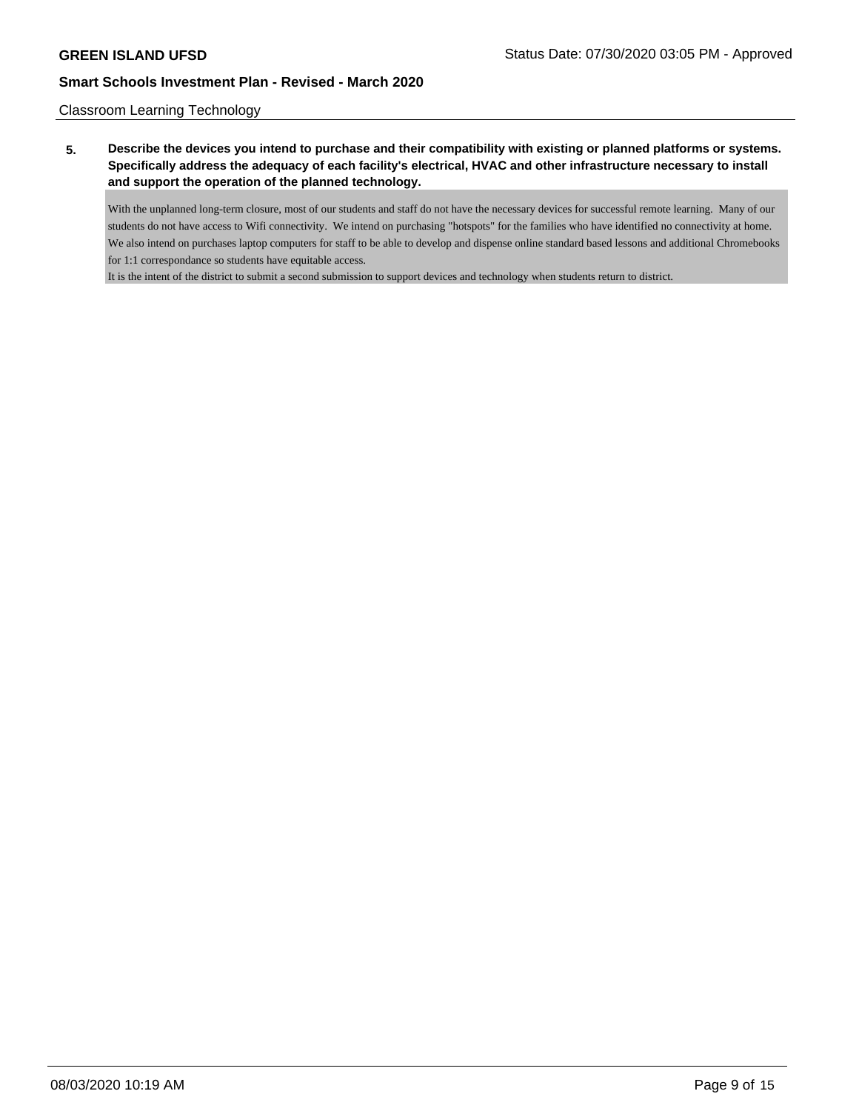Classroom Learning Technology

# **5. Describe the devices you intend to purchase and their compatibility with existing or planned platforms or systems. Specifically address the adequacy of each facility's electrical, HVAC and other infrastructure necessary to install and support the operation of the planned technology.**

With the unplanned long-term closure, most of our students and staff do not have the necessary devices for successful remote learning. Many of our students do not have access to Wifi connectivity. We intend on purchasing "hotspots" for the families who have identified no connectivity at home. We also intend on purchases laptop computers for staff to be able to develop and dispense online standard based lessons and additional Chromebooks for 1:1 correspondance so students have equitable access.

It is the intent of the district to submit a second submission to support devices and technology when students return to district.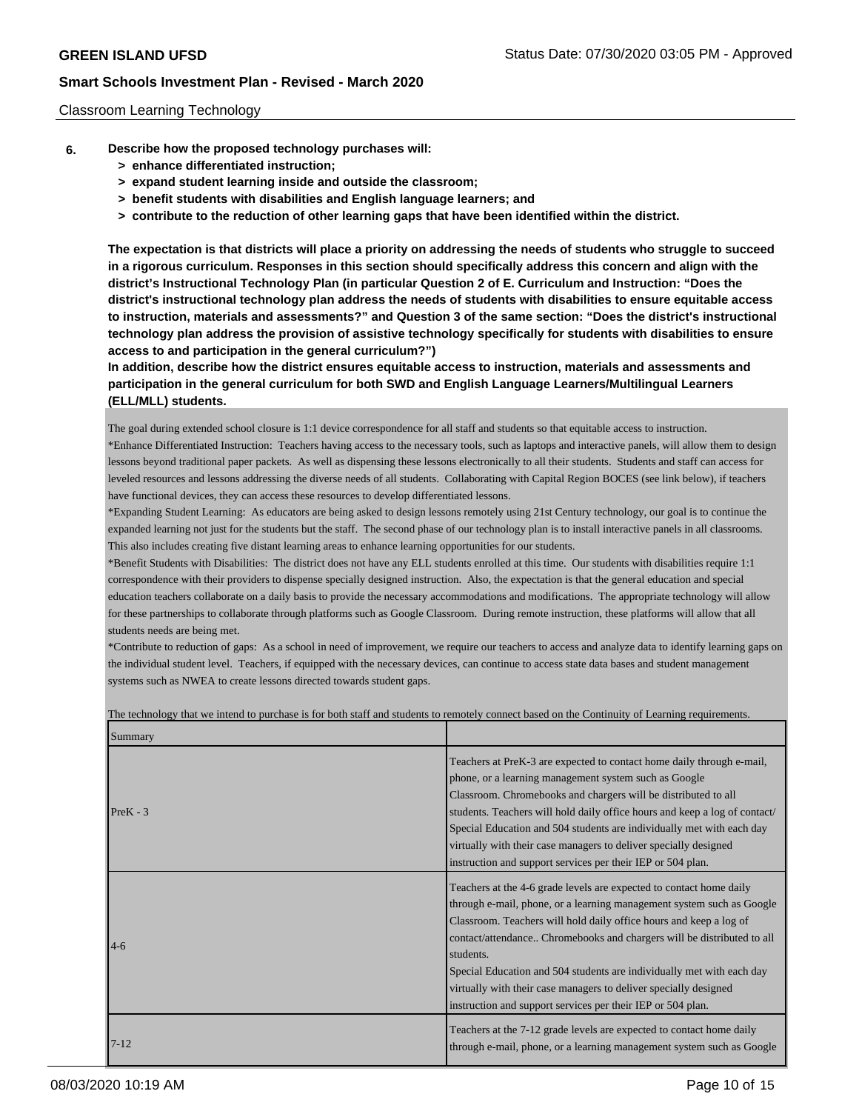#### Classroom Learning Technology

- **6. Describe how the proposed technology purchases will:**
	- **> enhance differentiated instruction;**
	- **> expand student learning inside and outside the classroom;**
	- **> benefit students with disabilities and English language learners; and**
	- **> contribute to the reduction of other learning gaps that have been identified within the district.**

**The expectation is that districts will place a priority on addressing the needs of students who struggle to succeed in a rigorous curriculum. Responses in this section should specifically address this concern and align with the district's Instructional Technology Plan (in particular Question 2 of E. Curriculum and Instruction: "Does the district's instructional technology plan address the needs of students with disabilities to ensure equitable access to instruction, materials and assessments?" and Question 3 of the same section: "Does the district's instructional technology plan address the provision of assistive technology specifically for students with disabilities to ensure access to and participation in the general curriculum?")**

**In addition, describe how the district ensures equitable access to instruction, materials and assessments and participation in the general curriculum for both SWD and English Language Learners/Multilingual Learners (ELL/MLL) students.**

The goal during extended school closure is 1:1 device correspondence for all staff and students so that equitable access to instruction.

\*Enhance Differentiated Instruction: Teachers having access to the necessary tools, such as laptops and interactive panels, will allow them to design lessons beyond traditional paper packets. As well as dispensing these lessons electronically to all their students. Students and staff can access for leveled resources and lessons addressing the diverse needs of all students. Collaborating with Capital Region BOCES (see link below), if teachers have functional devices, they can access these resources to develop differentiated lessons.

\*Expanding Student Learning: As educators are being asked to design lessons remotely using 21st Century technology, our goal is to continue the expanded learning not just for the students but the staff. The second phase of our technology plan is to install interactive panels in all classrooms. This also includes creating five distant learning areas to enhance learning opportunities for our students.

\*Benefit Students with Disabilities: The district does not have any ELL students enrolled at this time. Our students with disabilities require 1:1 correspondence with their providers to dispense specially designed instruction. Also, the expectation is that the general education and special education teachers collaborate on a daily basis to provide the necessary accommodations and modifications. The appropriate technology will allow for these partnerships to collaborate through platforms such as Google Classroom. During remote instruction, these platforms will allow that all students needs are being met.

\*Contribute to reduction of gaps: As a school in need of improvement, we require our teachers to access and analyze data to identify learning gaps on the individual student level. Teachers, if equipped with the necessary devices, can continue to access state data bases and student management systems such as NWEA to create lessons directed towards student gaps.

| Summary    |                                                                                                                                                                                                                                                                                                                                                                                                                                                                                                                       |
|------------|-----------------------------------------------------------------------------------------------------------------------------------------------------------------------------------------------------------------------------------------------------------------------------------------------------------------------------------------------------------------------------------------------------------------------------------------------------------------------------------------------------------------------|
| $PreK - 3$ | Teachers at PreK-3 are expected to contact home daily through e-mail,<br>phone, or a learning management system such as Google<br>Classroom. Chromebooks and chargers will be distributed to all<br>students. Teachers will hold daily office hours and keep a log of contact/<br>Special Education and 504 students are individually met with each day<br>virtually with their case managers to deliver specially designed<br>instruction and support services per their IEP or 504 plan.                            |
| $4-6$      | Teachers at the 4-6 grade levels are expected to contact home daily<br>through e-mail, phone, or a learning management system such as Google<br>Classroom. Teachers will hold daily office hours and keep a log of<br>contact/attendance Chromebooks and chargers will be distributed to all<br>students.<br>Special Education and 504 students are individually met with each day<br>virtually with their case managers to deliver specially designed<br>instruction and support services per their IEP or 504 plan. |
| $17 - 12$  | Teachers at the 7-12 grade levels are expected to contact home daily<br>through e-mail, phone, or a learning management system such as Google                                                                                                                                                                                                                                                                                                                                                                         |

The technology that we intend to purchase is for both staff and students to remotely connect based on the Continuity of Learning requirements.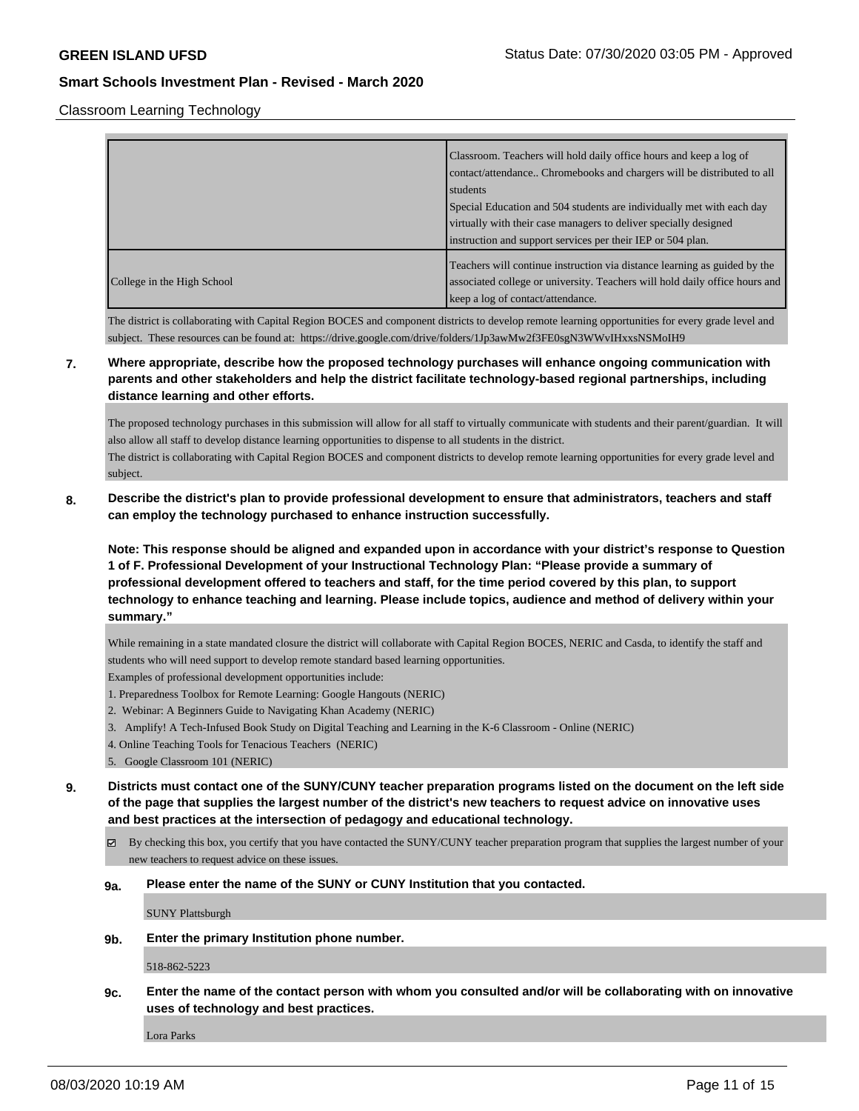Classroom Learning Technology

|                            | Classroom. Teachers will hold daily office hours and keep a log of<br>contact/attendance Chromebooks and chargers will be distributed to all<br>students                                                 |
|----------------------------|----------------------------------------------------------------------------------------------------------------------------------------------------------------------------------------------------------|
|                            | Special Education and 504 students are individually met with each day<br>virtually with their case managers to deliver specially designed<br>instruction and support services per their IEP or 504 plan. |
| College in the High School | Teachers will continue instruction via distance learning as guided by the<br>associated college or university. Teachers will hold daily office hours and<br>keep a log of contact/attendance.            |

The district is collaborating with Capital Region BOCES and component districts to develop remote learning opportunities for every grade level and subject. These resources can be found at: https://drive.google.com/drive/folders/1Jp3awMw2f3FE0sgN3WWvIHxxsNSMoIH9

# **7. Where appropriate, describe how the proposed technology purchases will enhance ongoing communication with parents and other stakeholders and help the district facilitate technology-based regional partnerships, including distance learning and other efforts.**

The proposed technology purchases in this submission will allow for all staff to virtually communicate with students and their parent/guardian. It will also allow all staff to develop distance learning opportunities to dispense to all students in the district. The district is collaborating with Capital Region BOCES and component districts to develop remote learning opportunities for every grade level and subject.

# **8. Describe the district's plan to provide professional development to ensure that administrators, teachers and staff can employ the technology purchased to enhance instruction successfully.**

**Note: This response should be aligned and expanded upon in accordance with your district's response to Question 1 of F. Professional Development of your Instructional Technology Plan: "Please provide a summary of professional development offered to teachers and staff, for the time period covered by this plan, to support technology to enhance teaching and learning. Please include topics, audience and method of delivery within your summary."**

While remaining in a state mandated closure the district will collaborate with Capital Region BOCES, NERIC and Casda, to identify the staff and students who will need support to develop remote standard based learning opportunities.

Examples of professional development opportunities include:

- 1. Preparedness Toolbox for Remote Learning: Google Hangouts (NERIC)
- 2. Webinar: A Beginners Guide to Navigating Khan Academy (NERIC)
- 3. Amplify! A Tech-Infused Book Study on Digital Teaching and Learning in the K-6 Classroom Online (NERIC)
- 4. Online Teaching Tools for Tenacious Teachers (NERIC)
- 5. Google Classroom 101 (NERIC)

**9. Districts must contact one of the SUNY/CUNY teacher preparation programs listed on the document on the left side of the page that supplies the largest number of the district's new teachers to request advice on innovative uses and best practices at the intersection of pedagogy and educational technology.**

By checking this box, you certify that you have contacted the SUNY/CUNY teacher preparation program that supplies the largest number of your new teachers to request advice on these issues.

**9a. Please enter the name of the SUNY or CUNY Institution that you contacted.**

SUNY Plattsburgh

**9b. Enter the primary Institution phone number.**

518-862-5223

**9c. Enter the name of the contact person with whom you consulted and/or will be collaborating with on innovative uses of technology and best practices.**

Lora Parks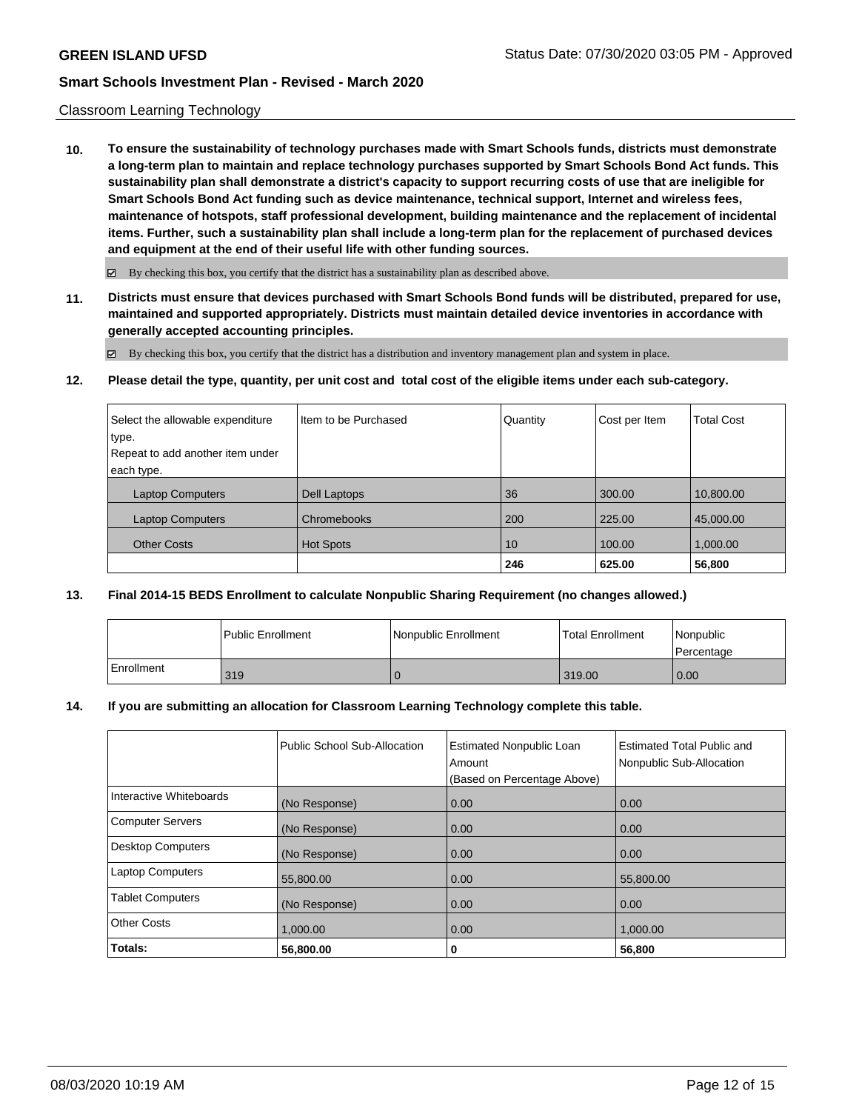#### Classroom Learning Technology

**10. To ensure the sustainability of technology purchases made with Smart Schools funds, districts must demonstrate a long-term plan to maintain and replace technology purchases supported by Smart Schools Bond Act funds. This sustainability plan shall demonstrate a district's capacity to support recurring costs of use that are ineligible for Smart Schools Bond Act funding such as device maintenance, technical support, Internet and wireless fees, maintenance of hotspots, staff professional development, building maintenance and the replacement of incidental items. Further, such a sustainability plan shall include a long-term plan for the replacement of purchased devices and equipment at the end of their useful life with other funding sources.**

 $\boxtimes$  By checking this box, you certify that the district has a sustainability plan as described above.

**11. Districts must ensure that devices purchased with Smart Schools Bond funds will be distributed, prepared for use, maintained and supported appropriately. Districts must maintain detailed device inventories in accordance with generally accepted accounting principles.**

By checking this box, you certify that the district has a distribution and inventory management plan and system in place.

**12. Please detail the type, quantity, per unit cost and total cost of the eligible items under each sub-category.**

| Select the allowable expenditure | Item to be Purchased | Quantity | Cost per Item | <b>Total Cost</b> |
|----------------------------------|----------------------|----------|---------------|-------------------|
| type.                            |                      |          |               |                   |
| Repeat to add another item under |                      |          |               |                   |
| each type.                       |                      |          |               |                   |
| <b>Laptop Computers</b>          | Dell Laptops         | 36       | 300.00        | 10,800.00         |
| <b>Laptop Computers</b>          | Chromebooks          | 200      | 225.00        | 45,000.00         |
| <b>Other Costs</b>               | <b>Hot Spots</b>     | 10       | 100.00        | 1,000.00          |
|                                  |                      | 246      | 625.00        | 56,800            |

### **13. Final 2014-15 BEDS Enrollment to calculate Nonpublic Sharing Requirement (no changes allowed.)**

|            | Public Enrollment | Nonpublic Enrollment | <b>Total Enrollment</b> | l Nonpublic<br>l Percentage |
|------------|-------------------|----------------------|-------------------------|-----------------------------|
| Enrollment | 319               |                      | 319.00                  | 0.00                        |

#### **14. If you are submitting an allocation for Classroom Learning Technology complete this table.**

|                          | Public School Sub-Allocation | <b>Estimated Nonpublic Loan</b><br>Amount<br>(Based on Percentage Above) | <b>Estimated Total Public and</b><br>Nonpublic Sub-Allocation |
|--------------------------|------------------------------|--------------------------------------------------------------------------|---------------------------------------------------------------|
| Interactive Whiteboards  | (No Response)                | 0.00                                                                     | 0.00                                                          |
| <b>Computer Servers</b>  | (No Response)                | 0.00                                                                     | 0.00                                                          |
| <b>Desktop Computers</b> | (No Response)                | 0.00                                                                     | 0.00                                                          |
| <b>Laptop Computers</b>  | 55,800.00                    | 0.00                                                                     | 55,800.00                                                     |
| <b>Tablet Computers</b>  | (No Response)                | 0.00                                                                     | 0.00                                                          |
| <b>Other Costs</b>       | 1,000.00                     | 0.00                                                                     | 1,000.00                                                      |
| Totals:                  | 56,800.00                    | 0                                                                        | 56,800                                                        |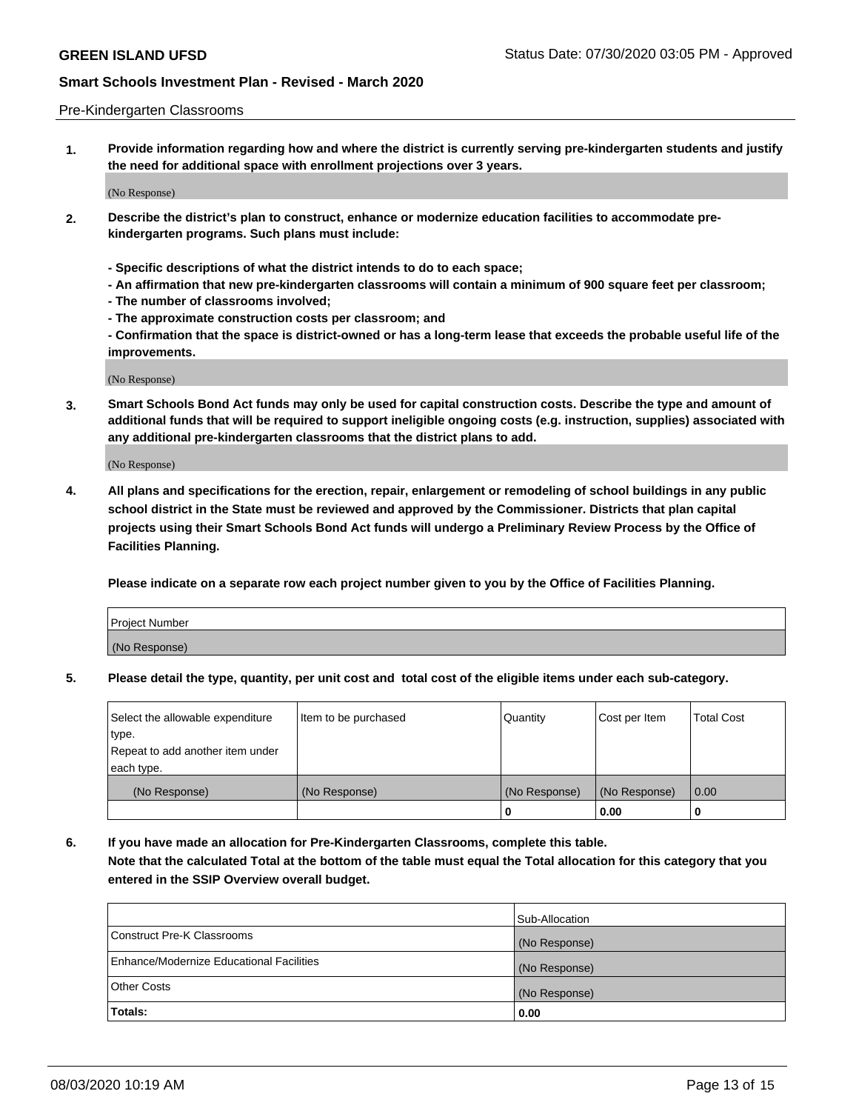#### Pre-Kindergarten Classrooms

**1. Provide information regarding how and where the district is currently serving pre-kindergarten students and justify the need for additional space with enrollment projections over 3 years.**

(No Response)

- **2. Describe the district's plan to construct, enhance or modernize education facilities to accommodate prekindergarten programs. Such plans must include:**
	- **Specific descriptions of what the district intends to do to each space;**
	- **An affirmation that new pre-kindergarten classrooms will contain a minimum of 900 square feet per classroom;**
	- **The number of classrooms involved;**
	- **The approximate construction costs per classroom; and**
	- **Confirmation that the space is district-owned or has a long-term lease that exceeds the probable useful life of the improvements.**

(No Response)

**3. Smart Schools Bond Act funds may only be used for capital construction costs. Describe the type and amount of additional funds that will be required to support ineligible ongoing costs (e.g. instruction, supplies) associated with any additional pre-kindergarten classrooms that the district plans to add.**

(No Response)

**4. All plans and specifications for the erection, repair, enlargement or remodeling of school buildings in any public school district in the State must be reviewed and approved by the Commissioner. Districts that plan capital projects using their Smart Schools Bond Act funds will undergo a Preliminary Review Process by the Office of Facilities Planning.**

**Please indicate on a separate row each project number given to you by the Office of Facilities Planning.**

| Project Number |  |
|----------------|--|
| (No Response)  |  |
|                |  |

**5. Please detail the type, quantity, per unit cost and total cost of the eligible items under each sub-category.**

| Select the allowable expenditure | Item to be purchased | Quantity      | Cost per Item | <b>Total Cost</b> |
|----------------------------------|----------------------|---------------|---------------|-------------------|
| type.                            |                      |               |               |                   |
| Repeat to add another item under |                      |               |               |                   |
| each type.                       |                      |               |               |                   |
| (No Response)                    | (No Response)        | (No Response) | (No Response) | 0.00              |
|                                  |                      | U             | 0.00          |                   |

**6. If you have made an allocation for Pre-Kindergarten Classrooms, complete this table. Note that the calculated Total at the bottom of the table must equal the Total allocation for this category that you entered in the SSIP Overview overall budget.**

|                                          | Sub-Allocation |
|------------------------------------------|----------------|
| Construct Pre-K Classrooms               | (No Response)  |
| Enhance/Modernize Educational Facilities | (No Response)  |
| <b>Other Costs</b>                       | (No Response)  |
| Totals:                                  | 0.00           |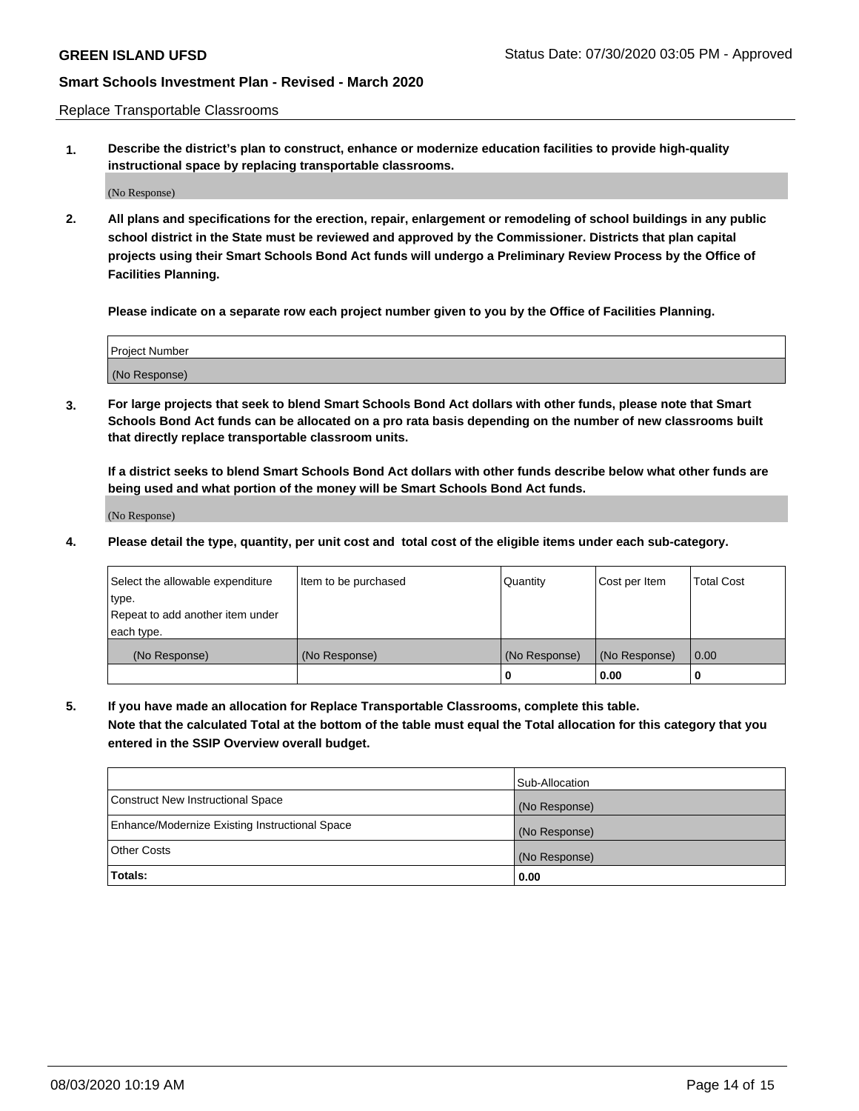Replace Transportable Classrooms

**1. Describe the district's plan to construct, enhance or modernize education facilities to provide high-quality instructional space by replacing transportable classrooms.**

(No Response)

**2. All plans and specifications for the erection, repair, enlargement or remodeling of school buildings in any public school district in the State must be reviewed and approved by the Commissioner. Districts that plan capital projects using their Smart Schools Bond Act funds will undergo a Preliminary Review Process by the Office of Facilities Planning.**

**Please indicate on a separate row each project number given to you by the Office of Facilities Planning.**

| Project Number |  |
|----------------|--|
|                |  |
|                |  |
|                |  |
| (No Response)  |  |
|                |  |
|                |  |

**3. For large projects that seek to blend Smart Schools Bond Act dollars with other funds, please note that Smart Schools Bond Act funds can be allocated on a pro rata basis depending on the number of new classrooms built that directly replace transportable classroom units.**

**If a district seeks to blend Smart Schools Bond Act dollars with other funds describe below what other funds are being used and what portion of the money will be Smart Schools Bond Act funds.**

(No Response)

**4. Please detail the type, quantity, per unit cost and total cost of the eligible items under each sub-category.**

| Select the allowable expenditure | Item to be purchased | Quantity      | Cost per Item | Total Cost |
|----------------------------------|----------------------|---------------|---------------|------------|
| ∣type.                           |                      |               |               |            |
| Repeat to add another item under |                      |               |               |            |
| each type.                       |                      |               |               |            |
| (No Response)                    | (No Response)        | (No Response) | (No Response) | 0.00       |
|                                  |                      | u             | 0.00          |            |

**5. If you have made an allocation for Replace Transportable Classrooms, complete this table. Note that the calculated Total at the bottom of the table must equal the Total allocation for this category that you entered in the SSIP Overview overall budget.**

|                                                | Sub-Allocation |
|------------------------------------------------|----------------|
| Construct New Instructional Space              | (No Response)  |
| Enhance/Modernize Existing Instructional Space | (No Response)  |
| Other Costs                                    | (No Response)  |
| Totals:                                        | 0.00           |